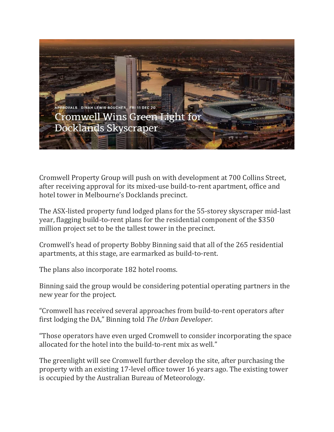

Cromwell Property Group will push on with development at 700 Collins Street, after receiving approval for its mixed-use build-to-rent apartment, office and hotel tower in Melbourne's Docklands precinct.

The ASX-listed property fund lodged plans for the 55-storey skyscraper mid-last year, flagging build-to-rent plans for the residential component of the \$350 million project set to be the tallest tower in the precinct.

Cromwell's head of property Bobby Binning said that all of the 265 residential apartments, at this stage, are earmarked as build-to-rent.

The plans also incorporate 182 hotel rooms.

Binning said the group would be considering potential operating partners in the new year for the project.

"Cromwell has received several approaches from build-to-rent operators after first lodging the DA," Binning told *The Urban Developer*.

"Those operators have even urged Cromwell to consider incorporating the space allocated for the hotel into the build-to-rent mix as well."

The greenlight will see Cromwell further develop the site, after purchasing the property with an existing 17-level office tower 16 years ago. The existing tower is occupied by the Australian Bureau of Meteorology.